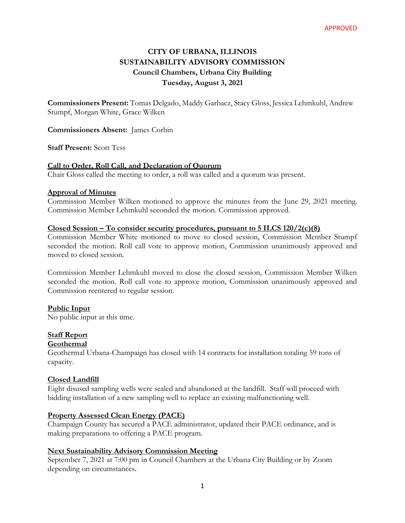# **CITY OF URBANA, ILLINOIS SUSTAINABILITY ADVISORY COMMISSION Council Chambers, Urbana City Building Tuesday, August 3, 2021**

**Commissioners Present:** Tomas Delgado, Maddy Garbacz, Stacy Gloss, Jessica Lehmkuhl, Andrew Stumpf, Morgan White, Grace Wilken

**Commissioners Absent:** James Corbin

**Staff Present:** Scott Tess

## **Call to Order, Roll Call, and Declaration of Quorum**

Chair Gloss called the meeting to order, a roll was called and a quorum was present.

#### **Approval of Minutes**

Commission Member Wilken motioned to approve the minutes from the June 29, 2021 meeting. Commission Member Lehmkuhl seconded the motion. Commission approved.

#### **Closed Session – To consider security procedures, pursuant to 5 ILCS 120/2(c)(8)**

Commission Member White motioned to move to closed session, Commission Member Stumpf seconded the motion. Roll call vote to approve motion, Commission unanimously approved and moved to closed session.

Commission Member Lehmkuhl moved to close the closed session, Commission Member Wilken seconded the motion. Roll call vote to approve motion, Commission unanimously approved and Commission reentered to regular session.

## **Public Input**

No public input at this time.

## **Staff Report**

#### **Geothermal**

Geothermal Urbana-Champaign has closed with 14 contracts for installation totaling 59 tons of capacity.

#### **Closed Landfill**

Eight disused sampling wells were sealed and abandoned at the landfill. Staff will proceed with bidding installation of a new sampling well to replace an existing malfunctioning well.

## **Property Assessed Clean Energy (PACE)**

Champaign County has secured a PACE administrator, updated their PACE ordinance, and is making preparations to offering a PACE program.

## **Next Sustainability Advisory Commission Meeting**

September 7, 2021 at 7:00 pm in Council Chambers at the Urbana City Building or by Zoom depending on circumstances.